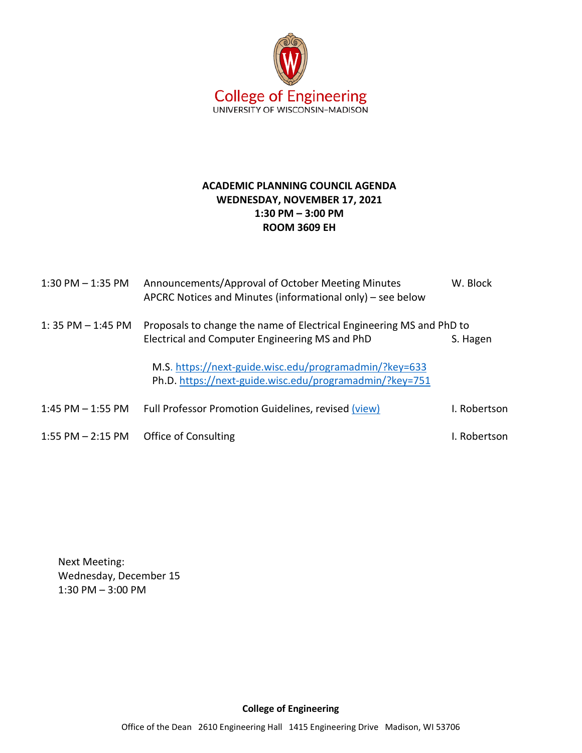

## **ACADEMIC PLANNING COUNCIL AGENDA WEDNESDAY, NOVEMBER 17, 2021 1:30 PM – 3:00 PM ROOM 3609 EH**

| $1:30$ PM $-1:35$ PM  | Announcements/Approval of October Meeting Minutes<br>APCRC Notices and Minutes (informational only) – see below        | W. Block     |
|-----------------------|------------------------------------------------------------------------------------------------------------------------|--------------|
| $1:35$ PM $-1:45$ PM  | Proposals to change the name of Electrical Engineering MS and PhD to<br>Electrical and Computer Engineering MS and PhD | S. Hagen     |
|                       | M.S. https://next-guide.wisc.edu/programadmin/?key=633<br>Ph.D. https://next-guide.wisc.edu/programadmin/?key=751      |              |
| $1:45$ PM $-1:55$ PM  | Full Professor Promotion Guidelines, revised (view)                                                                    | I. Robertson |
| $1:55$ PM $- 2:15$ PM | Office of Consulting                                                                                                   | I. Robertson |

Next Meeting: Wednesday, December 15 1:30 PM – 3:00 PM